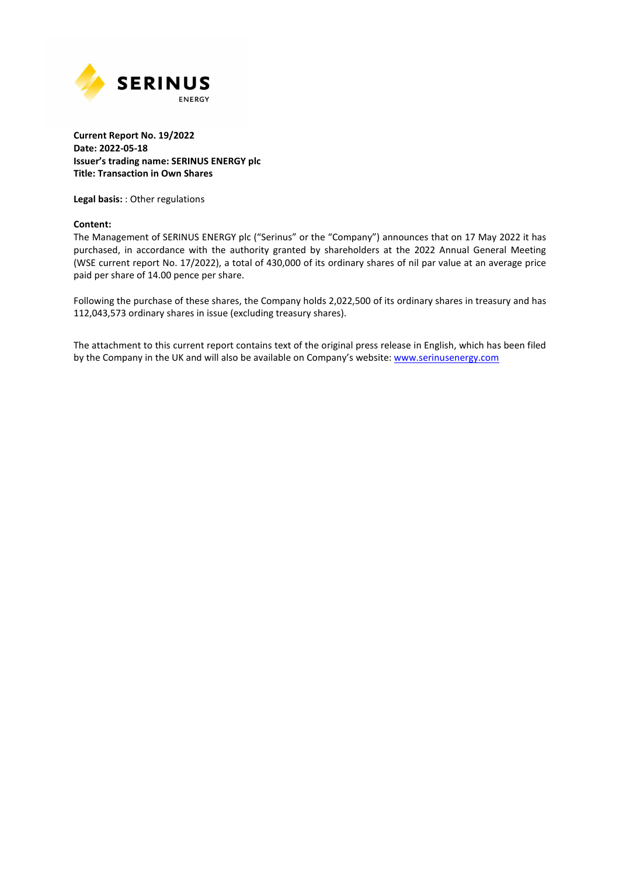

## **Current Report No. 19/2022 Date: 2022-05-18 Issuer's trading name: SERINUS ENERGY plc Title: Transaction in Own Shares**

**Legal basis:** : Other regulations

### **Content:**

The Management of SERINUS ENERGY plc ("Serinus" or the "Company") announces that on 17 May 2022 it has purchased, in accordance with the authority granted by shareholders at the 2022 Annual General Meeting (WSE current report No. 17/2022), a total of 430,000 of its ordinary shares of nil par value at an average price paid per share of 14.00 pence per share.

Following the purchase of these shares, the Company holds 2,022,500 of its ordinary shares in treasury and has 112,043,573 ordinary shares in issue (excluding treasury shares).

The attachment to this current report contains text of the original press release in English, which has been filed by the Company in the UK and will also be available on Company's website: www.serinusenergy.com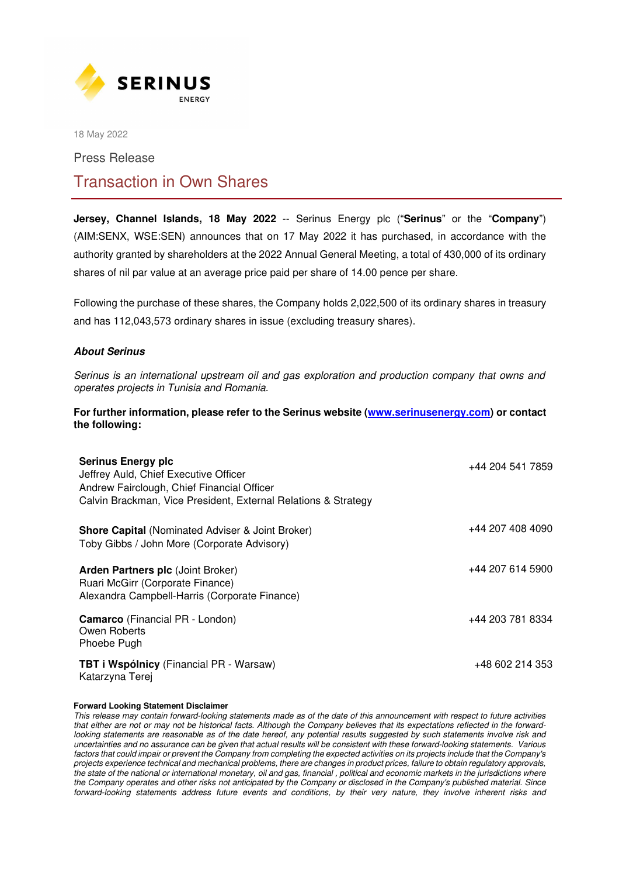

18 May 2022

Press Release

# Transaction in Own Shares

**Jersey, Channel Islands, 18 May 2022** -- Serinus Energy plc ("**Serinus**" or the "**Company**") (AIM:SENX, WSE:SEN) announces that on 17 May 2022 it has purchased, in accordance with the authority granted by shareholders at the 2022 Annual General Meeting, a total of 430,000 of its ordinary shares of nil par value at an average price paid per share of 14.00 pence per share.

Following the purchase of these shares, the Company holds 2,022,500 of its ordinary shares in treasury and has 112,043,573 ordinary shares in issue (excluding treasury shares).

## **About Serinus**

*Serinus is an international upstream oil and gas exploration and production company that owns and operates projects in Tunisia and Romania.*

**For further information, please refer to the Serinus website (www.serinusenergy.com) or contact the following:** 

| <b>Serinus Energy plc</b><br>Jeffrey Auld, Chief Executive Officer<br>Andrew Fairclough, Chief Financial Officer<br>Calvin Brackman, Vice President, External Relations & Strategy | +44 204 541 7859 |
|------------------------------------------------------------------------------------------------------------------------------------------------------------------------------------|------------------|
| <b>Shore Capital (Nominated Adviser &amp; Joint Broker)</b><br>Toby Gibbs / John More (Corporate Advisory)                                                                         | +44 207 408 4090 |
| Arden Partners plc (Joint Broker)<br>Ruari McGirr (Corporate Finance)<br>Alexandra Campbell-Harris (Corporate Finance)                                                             | +44 207 614 5900 |
| <b>Camarco</b> (Financial PR - London)<br>Owen Roberts<br>Phoebe Pugh                                                                                                              | +44 203 781 8334 |
| <b>TBT i Wspólnicy</b> (Financial PR - Warsaw)<br>Katarzyna Terej                                                                                                                  | +48 602 214 353  |

#### **Forward Looking Statement Disclaimer**

*This release may contain forward-looking statements made as of the date of this announcement with respect to future activities that either are not or may not be historical facts. Although the Company believes that its expectations reflected in the forwardlooking statements are reasonable as of the date hereof, any potential results suggested by such statements involve risk and uncertainties and no assurance can be given that actual results will be consistent with these forward-looking statements. Various*  factors that could impair or prevent the Company from completing the expected activities on its projects include that the Company's *projects experience technical and mechanical problems, there are changes in product prices, failure to obtain regulatory approvals, the state of the national or international monetary, oil and gas, financial , political and economic markets in the jurisdictions where the Company operates and other risks not anticipated by the Company or disclosed in the Company's published material. Since forward-looking statements address future events and conditions, by their very nature, they involve inherent risks and*